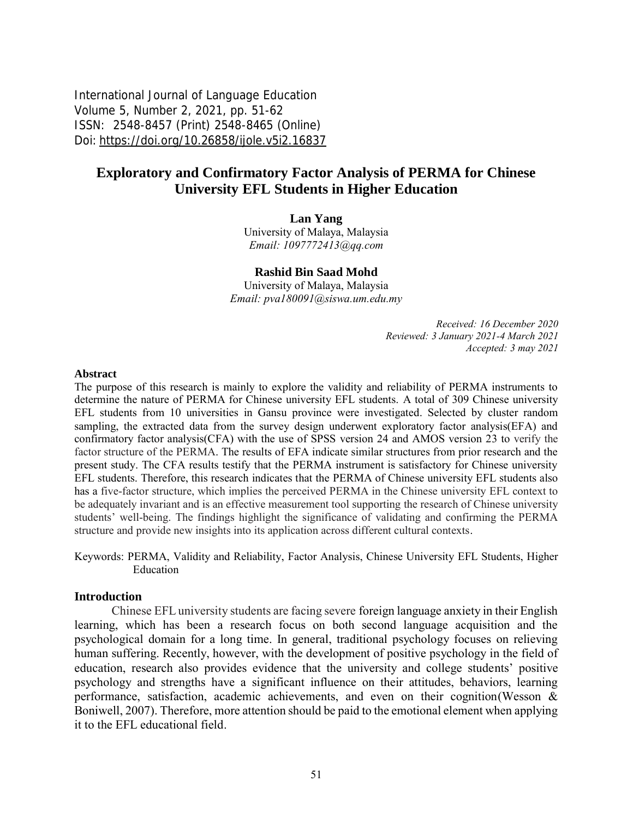International Journal of Language Education Volume 5, Number 2, 2021, pp. 51-62 ISSN: 2548-8457 (Print) 2548-8465 (Online) Doi: <https://doi.org/10.26858/ijole.v5i2.16837>

# **Exploratory and Confirmatory Factor Analysis of PERMA for Chinese University EFL Students in Higher Education**

**Lan Yang**

University of Malaya, Malaysia *Email: 1097772413@qq.com*

#### **Rashid Bin Saad Mohd**

University of Malaya, Malaysia *Email: pva180091@siswa.um.edu.my* 

> *Received: 16 December 2020 Reviewed: 3 January 2021-4 March 2021 Accepted: 3 may 2021*

#### **Abstract**

The purpose of this research is mainly to explore the validity and reliability of PERMA instruments to determine the nature of PERMA for Chinese university EFL students. A total of 309 Chinese university EFL students from 10 universities in Gansu province were investigated. Selected by cluster random sampling, the extracted data from the survey design underwent exploratory factor analysis(EFA) and confirmatory factor analysis(CFA) with the use of SPSS version 24 and AMOS version 23 to verify the factor structure of the PERMA. The results of EFA indicate similar structures from prior research and the present study. The CFA results testify that the PERMA instrument is satisfactory for Chinese university EFL students. Therefore, this research indicates that the PERMA of Chinese university EFL students also has a five-factor structure, which implies the perceived PERMA in the Chinese university EFL context to be adequately invariant and is an effective measurement tool supporting the research of Chinese university students' well-being. The findings highlight the significance of validating and confirming the PERMA structure and provide new insights into its application across different cultural contexts.

Keywords: PERMA, Validity and Reliability, Factor Analysis, Chinese University EFL Students, Higher Education

#### **Introduction**

Chinese EFL university students are facing severe foreign language anxiety in their English learning, which has been a research focus on both second language acquisition and the psychological domain for a long time. In general, traditional psychology focuses on relieving human suffering. Recently, however, with the development of positive psychology in the field of education, research also provides evidence that the university and college students' positive psychology and strengths have a significant influence on their attitudes, behaviors, learning performance, satisfaction, academic achievements, and even on their cognition[\(Wesson &](#page-11-0)  [Boniwell, 2007\)](#page-11-0). Therefore, more attention should be paid to the emotional element when applying it to the EFL educational field.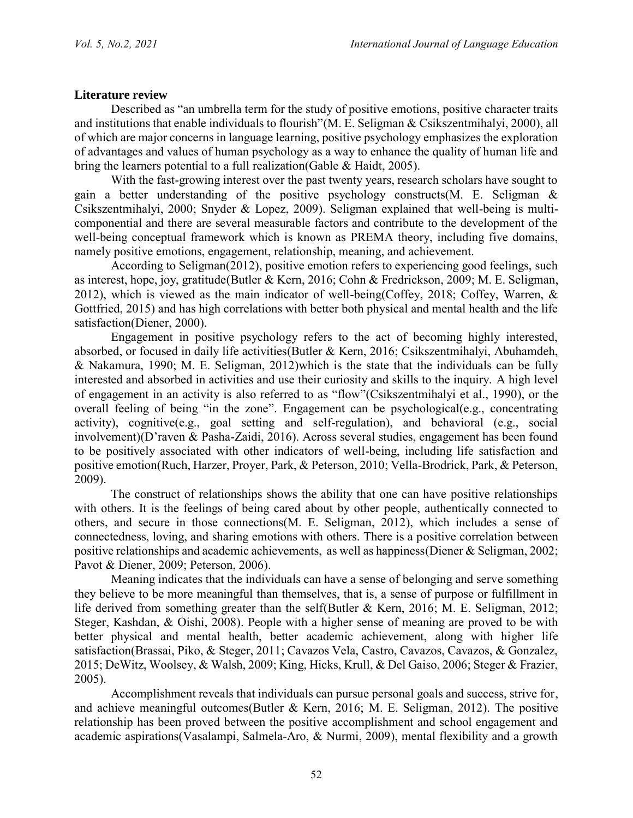## **Literature review**

Described as "an umbrella term for the study of positive emotions, positive character traits and institutions that enable individuals to flourish"[\(M. E. Seligman & Csikszentmihalyi, 2000\)](#page-11-1), all of which are major concerns in language learning, positive psychology emphasizes the exploration of advantages and values of human psychology as a way to enhance the quality of human life and bring the learners potential to a full realization[\(Gable & Haidt, 2005\)](#page-10-0).

With the fast-growing interest over the past twenty years, research scholars have sought to gain a better understanding of the positive psychology constructs[\(M. E. Seligman &](#page-11-1)  [Csikszentmihalyi, 2000;](#page-11-1) [Snyder & Lopez, 2009\)](#page-11-2). Seligman explained that well-being is multicomponential and there are several measurable factors and contribute to the development of the well-being conceptual framework which is known as PREMA theory, including five domains, namely positive emotions, engagement, relationship, meaning, and achievement.

According to Seligman[\(2012\)](#page-11-3), positive emotion refers to experiencing good feelings, such as interest, hope, joy, gratitude[\(Butler & Kern, 2016;](#page-9-0) [Cohn & Fredrickson, 2009;](#page-9-1) [M. E. Seligman,](#page-11-3)  [2012\)](#page-11-3), which is viewed as the main indicator of well-being[\(Coffey, 2018;](#page-9-2) [Coffey, Warren, &](#page-9-3)  [Gottfried, 2015\)](#page-9-3) and has high correlations with better both physical and mental health and the life satisfaction[\(Diener, 2000\)](#page-10-1).

Engagement in positive psychology refers to the act of becoming highly interested, absorbed, or focused in daily life activities[\(Butler & Kern, 2016;](#page-9-0) [Csikszentmihalyi, Abuhamdeh,](#page-10-2)  [& Nakamura, 1990;](#page-10-2) [M. E. Seligman, 2012\)](#page-11-3)which is the state that the individuals can be fully interested and absorbed in activities and use their curiosity and skills to the inquiry. A high level of engagement in an activity is also referred to as "flow"[\(Csikszentmihalyi et al., 1990\)](#page-10-2), or the overall feeling of being "in the zone". Engagement can be psychological(e.g., concentrating activity), cognitive(e.g., goal setting and self-regulation), and behavioral (e.g., social involvement)[\(D'raven & Pasha-Zaidi, 2016\)](#page-10-3). Across several studies, engagement has been found to be positively associated with other indicators of well-being, including life satisfaction and positive emotion[\(Ruch, Harzer, Proyer, Park, & Peterson, 2010;](#page-11-4) [Vella-Brodrick, Park, & Peterson,](#page-11-5)  [2009\)](#page-11-5).

The construct of relationships shows the ability that one can have positive relationships with others. It is the feelings of being cared about by other people, authentically connected to others, and secure in those connections[\(M. E. Seligman, 2012\)](#page-11-3), which includes a sense of connectedness, loving, and sharing emotions with others. There is a positive correlation between positive relationships and academic achievements, as well as happiness[\(Diener & Seligman, 2002;](#page-10-4) [Pavot & Diener, 2009;](#page-11-6) [Peterson, 2006\)](#page-11-7).

Meaning indicates that the individuals can have a sense of belonging and serve something they believe to be more meaningful than themselves, that is, a sense of purpose or fulfillment in life derived from something greater than the self[\(Butler & Kern, 2016;](#page-9-0) [M. E. Seligman, 2012;](#page-11-3) [Steger, Kashdan,](#page-11-8) & Oishi, 2008). People with a higher sense of meaning are proved to be with better physical and mental health, better academic achievement, along with higher life satisfaction[\(Brassai, Piko, & Steger, 2011;](#page-9-4) [Cavazos Vela, Castro, Cavazos, Cavazos, & Gonzalez,](#page-9-5)  [2015;](#page-9-5) [DeWitz, Woolsey, & Walsh, 2009;](#page-10-5) [King, Hicks, Krull, & Del Gaiso, 2006;](#page-10-6) [Steger & Frazier,](#page-11-9)  [2005\)](#page-11-9).

Accomplishment reveals that individuals can pursue personal goals and success, strive for, and achieve meaningful outcomes[\(Butler & Kern, 2016;](#page-9-0) [M. E. Seligman, 2012\)](#page-11-3). The positive relationship has been proved between the positive accomplishment and school engagement and academic aspirations[\(Vasalampi, Salmela-Aro, & Nurmi, 2009\)](#page-11-10), mental flexibility and a growth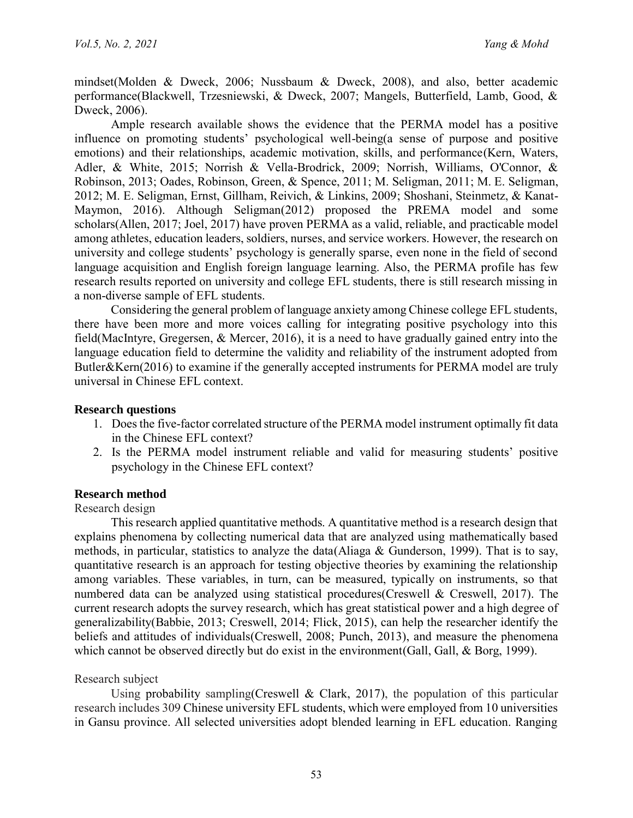mindset[\(Molden & Dweck, 2006;](#page-10-7) [Nussbaum & Dweck, 2008\)](#page-11-11), and also, better academic performance[\(Blackwell, Trzesniewski, & Dweck, 2007;](#page-9-6) [Mangels, Butterfield, Lamb, Good, &](#page-10-8)  [Dweck, 2006\)](#page-10-8).

Ample research available shows the evidence that the PERMA model has a positive influence on promoting students' psychological well-being(a sense of purpose and positive emotions) and their relationships, academic motivation, skills, and performance[\(Kern, Waters,](#page-10-9)  [Adler, & White, 2015;](#page-10-9) [Norrish & Vella-Brodrick, 2009;](#page-11-12) [Norrish, Williams, O'Connor, &](#page-11-13)  [Robinson, 2013;](#page-11-13) [Oades, Robinson, Green, & Spence, 2011;](#page-11-14) [M. Seligman, 2011;](#page-11-15) [M. E. Seligman,](#page-11-3)  [2012;](#page-11-3) [M. E. Seligman, Ernst, Gillham, Reivich, & Linkins, 2009;](#page-11-16) [Shoshani, Steinmetz, & Kanat-](#page-11-17)[Maymon, 2016\)](#page-11-17). Although Seligman[\(2012\)](#page-11-3) proposed the PREMA model and some scholars[\(Allen, 2017;](#page-9-7) [Joel, 2017\)](#page-10-10) have proven PERMA as a valid, reliable, and practicable model among athletes, education leaders, soldiers, nurses, and service workers. However, the research on university and college students' psychology is generally sparse, even none in the field of second language acquisition and English foreign language learning. Also, the PERMA profile has few research results reported on university and college EFL students, there is still research missing in a non-diverse sample of EFL students.

Considering the general problem of language anxiety among Chinese college EFL students, there have been more and more voices calling for integrating positive psychology into this field[\(MacIntyre, Gregersen, & Mercer, 2016\)](#page-10-11), it is a need to have gradually gained entry into the language education field to determine the validity and reliability of the instrument adopted from Butler&Kern[\(2016\)](#page-9-0) to examine if the generally accepted instruments for PERMA model are truly universal in Chinese EFL context.

## **Research questions**

- 1. Does the five-factor correlated structure of the PERMA model instrument optimally fit data in the Chinese EFL context?
- 2. Is the PERMA model instrument reliable and valid for measuring students' positive psychology in the Chinese EFL context?

## **Research method**

Research design

This research applied quantitative methods. A quantitative method is a research design that explains phenomena by collecting numerical data that are analyzed using mathematically based methods, in particular, statistics to analyze the data[\(Aliaga & Gunderson, 1999\)](#page-9-8). That is to say, quantitative research is an approach for testing objective theories by examining the relationship among variables. These variables, in turn, can be measured, typically on instruments, so that numbered data can be analyzed using statistical procedures[\(Creswell & Creswell, 2017\)](#page-9-9). The current research adopts the survey research, which has great statistical power and a high degree of generalizability[\(Babbie,](#page-9-10) 2013; [Creswell, 2014;](#page-9-11) [Flick, 2015\)](#page-10-12), can help the researcher identify the beliefs and attitudes of individuals[\(Creswell, 2008;](#page-9-12) [Punch, 2013\)](#page-11-18), and measure the phenomena which cannot be observed directly but do exist in the environment Gall, Gall, & Borg, 1999).

### Research subject

Using probability sampling[\(Creswell & Clark, 2017\)](#page-9-13), the population of this particular research includes 309 Chinese university EFL students, which were employed from 10 universities in Gansu province. All selected universities adopt blended learning in EFL education. Ranging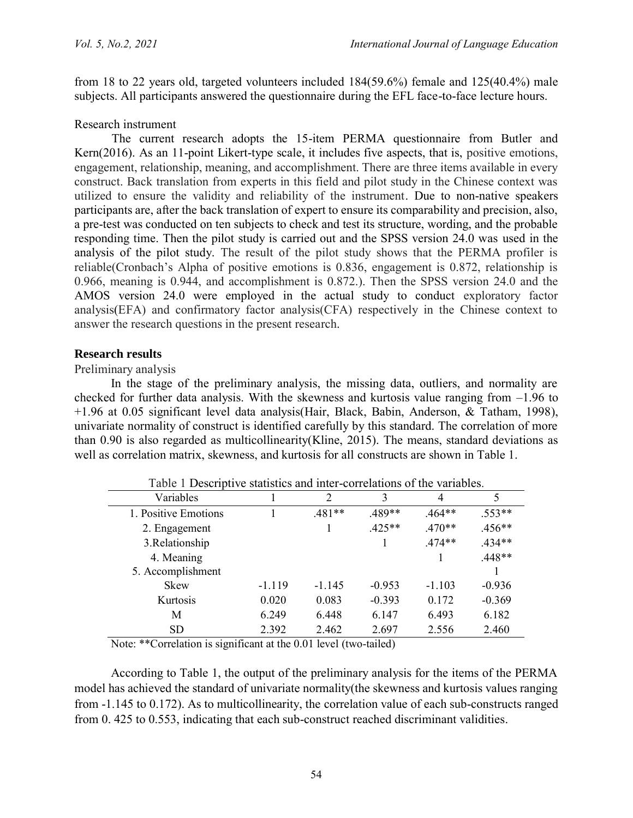from 18 to 22 years old, targeted volunteers included 184(59.6%) female and 125(40.4%) male subjects. All participants answered the questionnaire during the EFL face-to-face lecture hours.

## Research instrument

The current research adopts the 15-item PERMA questionnaire from Butler and Kern[\(2016\)](#page-9-0). As an 11-point Likert-type scale, it includes five aspects, that is, positive emotions, engagement, relationship, meaning, and accomplishment. There are three items available in every construct. Back translation from experts in this field and pilot study in the Chinese context was utilized to ensure the validity and reliability of the instrument. Due to non-native speakers participants are, after the back translation of expert to ensure its comparability and precision, also, a pre-test was conducted on ten subjects to check and test its structure, wording, and the probable responding time. Then the pilot study is carried out and the SPSS version 24.0 was used in the analysis of the pilot study. The result of the pilot study shows that the PERMA profiler is reliable(Cronbach's Alpha of positive emotions is 0.836, engagement is 0.872, relationship is 0.966, meaning is 0.944, and accomplishment is 0.872.). Then the SPSS version 24.0 and the AMOS version 24.0 were employed in the actual study to conduct exploratory factor analysis(EFA) and confirmatory factor analysis(CFA) respectively in the Chinese context to answer the research questions in the present research.

## **Research results**

### Preliminary analysis

In the stage of the preliminary analysis, the missing data, outliers, and normality are checked for further data analysis. With the skewness and kurtosis value ranging from –1.96 to +1.96 at 0.05 significant level data analysis[\(Hair, Black, Babin, Anderson, & Tatham, 1998\)](#page-10-14), univariate normality of construct is identified carefully by this standard. The correlation of more than 0.90 is also regarded as multicollinearity[\(Kline, 2015\)](#page-10-15). The means, standard deviations as well as correlation matrix, skewness, and kurtosis for all constructs are shown in Table 1.

| Table 1 Descriptive statistics and inter-correlations of the variables. |          |          |          |          |          |  |
|-------------------------------------------------------------------------|----------|----------|----------|----------|----------|--|
| Variables                                                               |          |          | 3        | 4        | 5        |  |
| 1. Positive Emotions                                                    |          | $.481**$ | 489**    | $464**$  | 553**    |  |
| 2. Engagement                                                           |          |          | $.425**$ | $.470**$ | $.456**$ |  |
| 3. Relationship                                                         |          |          |          | $.474**$ | $434**$  |  |
| 4. Meaning                                                              |          |          |          |          | $.448**$ |  |
| 5. Accomplishment                                                       |          |          |          |          |          |  |
| <b>Skew</b>                                                             | $-1.119$ | $-1.145$ | $-0.953$ | $-1.103$ | $-0.936$ |  |
| Kurtosis                                                                | 0.020    | 0.083    | $-0.393$ | 0.172    | $-0.369$ |  |
| M                                                                       | 6.249    | 6.448    | 6.147    | 6.493    | 6.182    |  |
| <b>SD</b>                                                               | 2.392    | 2.462    | 2.697    | 2.556    | 2.460    |  |

Note: \*\*Correlation is significant at the 0.01 level (two-tailed)

According to Table 1, the output of the preliminary analysis for the items of the PERMA model has achieved the standard of univariate normality(the skewness and kurtosis values ranging from -1.145 to 0.172). As to multicollinearity, the correlation value of each sub-constructs ranged from 0. 425 to 0.553, indicating that each sub-construct reached discriminant validities.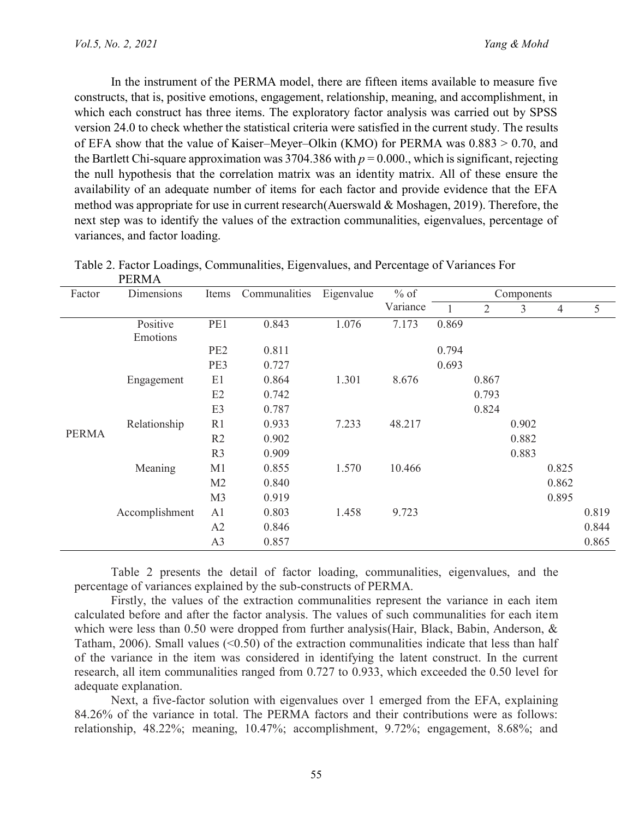In the instrument of the PERMA model, there are fifteen items available to measure five constructs, that is, positive emotions, engagement, relationship, meaning, and accomplishment, in which each construct has three items. The exploratory factor analysis was carried out by SPSS version 24.0 to check whether the statistical criteria were satisfied in the current study. The results of EFA show that the value of Kaiser–Meyer–Olkin (KMO) for PERMA was 0.883 > 0.70, and the Bartlett Chi-square approximation was  $3704.386$  with  $p = 0.000$ , which is significant, rejecting the null hypothesis that the correlation matrix was an identity matrix. All of these ensure the availability of an adequate number of items for each factor and provide evidence that the EFA method was appropriate for use in current research[\(Auerswald & Moshagen, 2019\)](#page-9-14). Therefore, the next step was to identify the values of the extraction communalities, eigenvalues, percentage of variances, and factor loading.

| Factor       | T EIZMIT<br>Dimensions | Items           | Communalities | Eigenvalue | $%$ of   | Components |                |       |       |       |
|--------------|------------------------|-----------------|---------------|------------|----------|------------|----------------|-------|-------|-------|
|              |                        |                 |               |            | Variance |            | $\overline{2}$ | 3     | 4     | 5     |
|              | Positive               | PE1             | 0.843         | 1.076      | 7.173    | 0.869      |                |       |       |       |
|              | Emotions               |                 |               |            |          |            |                |       |       |       |
|              |                        | PE <sub>2</sub> | 0.811         |            |          | 0.794      |                |       |       |       |
|              |                        | PE3             | 0.727         |            |          | 0.693      |                |       |       |       |
|              | Engagement             | E1              | 0.864         | 1.301      | 8.676    |            | 0.867          |       |       |       |
|              |                        | E2              | 0.742         |            |          |            | 0.793          |       |       |       |
|              |                        | E <sub>3</sub>  | 0.787         |            |          |            | 0.824          |       |       |       |
|              | Relationship           | R1              | 0.933         | 7.233      | 48.217   |            |                | 0.902 |       |       |
| <b>PERMA</b> |                        | R <sub>2</sub>  | 0.902         |            |          |            |                | 0.882 |       |       |
|              |                        | R <sub>3</sub>  | 0.909         |            |          |            |                | 0.883 |       |       |
|              | Meaning                | M <sub>1</sub>  | 0.855         | 1.570      | 10.466   |            |                |       | 0.825 |       |
|              |                        | M <sub>2</sub>  | 0.840         |            |          |            |                |       | 0.862 |       |
|              |                        | M <sub>3</sub>  | 0.919         |            |          |            |                |       | 0.895 |       |
|              | Accomplishment         | A <sub>1</sub>  | 0.803         | 1.458      | 9.723    |            |                |       |       | 0.819 |
|              |                        | A2              | 0.846         |            |          |            |                |       |       | 0.844 |
|              |                        | A <sub>3</sub>  | 0.857         |            |          |            |                |       |       | 0.865 |

Table 2. Factor Loadings, Communalities, Eigenvalues, and Percentage of Variances For **DEDMA** 

Table 2 presents the detail of factor loading, communalities, eigenvalues, and the percentage of variances explained by the sub-constructs of PERMA.

Firstly, the values of the extraction communalities represent the variance in each item calculated before and after the factor analysis. The values of such communalities for each item which were less than 0.50 were dropped from further analysis(Hair, Black, Babin, Anderson, & [Tatham, 2006\)](#page-10-16). Small values  $(\le 0.50)$  of the extraction communalities indicate that less than half of the variance in the item was considered in identifying the latent construct. In the current research, all item communalities ranged from 0.727 to 0.933, which exceeded the 0.50 level for adequate explanation.

Next, a five-factor solution with eigenvalues over 1 emerged from the EFA, explaining 84.26% of the variance in total. The PERMA factors and their contributions were as follows: relationship, 48.22%; meaning, 10.47%; accomplishment, 9.72%; engagement, 8.68%; and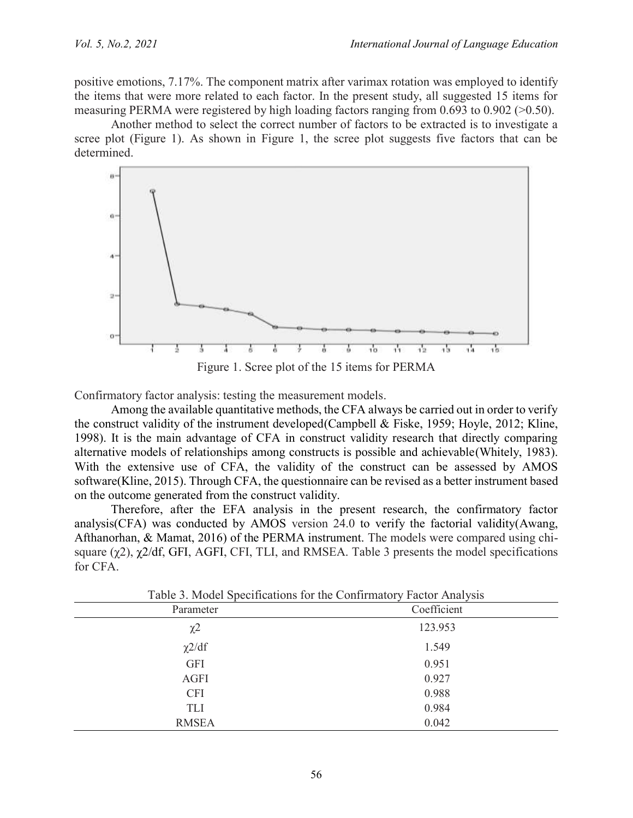positive emotions, 7.17%. The component matrix after varimax rotation was employed to identify the items that were more related to each factor. In the present study, all suggested 15 items for measuring PERMA were registered by high loading factors ranging from 0.693 to 0.902 (>0.50).

Another method to select the correct number of factors to be extracted is to investigate a scree plot (Figure 1). As shown in Figure 1, the scree plot suggests five factors that can be determined.



Figure 1. Scree plot of the 15 items for PERMA

Confirmatory factor analysis: testing the measurement models.

Among the available quantitative methods, the CFA always be carried out in order to verify the construct validity of the instrument developed[\(Campbell & Fiske, 1959;](#page-9-15) [Hoyle, 2012;](#page-10-17) [Kline,](#page-10-18)  [1998\)](#page-10-18). It is the main advantage of CFA in construct validity research that directly comparing alternative models of relationships among constructs is possible and achievable(Whitely, 1983). With the extensive use of CFA, the validity of the construct can be assessed by AMOS software[\(Kline, 2015\)](#page-10-15). Through CFA, the questionnaire can be revised as a better instrument based on the outcome generated from the construct validity.

Therefore, after the EFA analysis in the present research, the confirmatory factor analysis(CFA) was conducted by AMOS version 24.0 to verify the factorial validity[\(Awang,](#page-9-16)  [Afthanorhan, & Mamat, 2016\)](#page-9-16) of the PERMA instrument. The models were compared using chisquare  $(\gamma 2)$ ,  $\gamma 2/df$ , GFI, AGFI, CFI, TLI, and RMSEA. Table 3 presents the model specifications for CFA.

| Parameter           | Coefficient |  |  |  |  |
|---------------------|-------------|--|--|--|--|
| $\chi$ <sup>2</sup> | 123.953     |  |  |  |  |
| $\chi$ 2/df         | 1.549       |  |  |  |  |
| <b>GFI</b>          | 0.951       |  |  |  |  |
| <b>AGFI</b>         | 0.927       |  |  |  |  |
| <b>CFI</b>          | 0.988       |  |  |  |  |
| <b>TLI</b>          | 0.984       |  |  |  |  |
| <b>RMSEA</b>        | 0.042       |  |  |  |  |

Table 3. Model Specifications for the Confirmatory Factor Analysis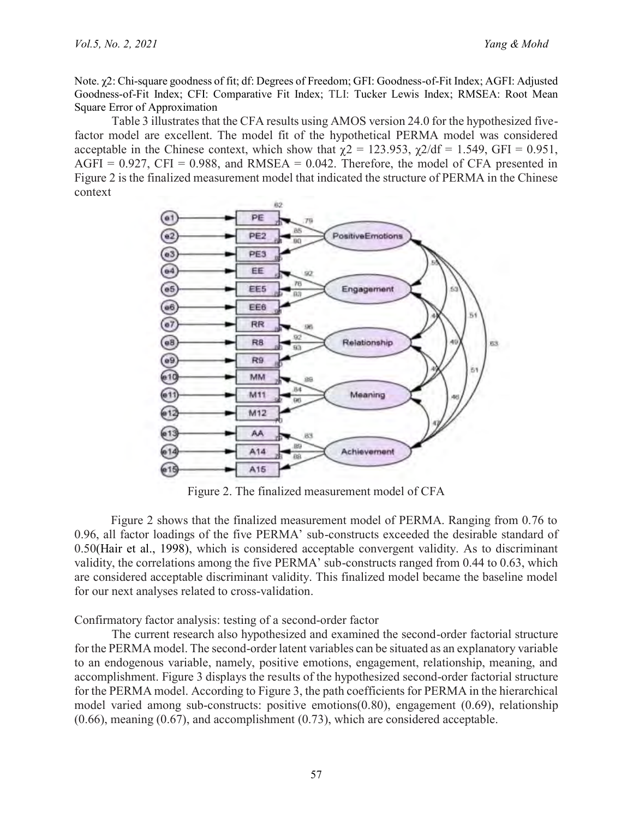Note. χ2: Chi-square goodness of fit; df: Degrees of Freedom; GFI: Goodness-of-Fit Index; AGFI: Adjusted Goodness-of-Fit Index; CFI: Comparative Fit Index; TLI: Tucker Lewis Index; RMSEA: Root Mean Square Error of Approximation

Table 3 illustrates that the CFA results using AMOS version 24.0 for the hypothesized fivefactor model are excellent. The model fit of the hypothetical PERMA model was considered acceptable in the Chinese context, which show that  $\gamma$ 2 = 123.953,  $\gamma$ 2/df = 1.549, GFI = 0.951,  $AGFI = 0.927$ ,  $CFI = 0.988$ , and  $RMSEA = 0.042$ . Therefore, the model of CFA presented in Figure 2 is the finalized measurement model that indicated the structure of PERMA in the Chinese context



Figure 2. The finalized measurement model of CFA

Figure 2 shows that the finalized measurement model of PERMA. Ranging from 0.76 to 0.96, all factor loadings of the five PERMA' sub-constructs exceeded the desirable standard of 0.50[\(Hair et al., 1998\)](#page-10-14), which is considered acceptable convergent validity. As to discriminant validity, the correlations among the five PERMA' sub-constructs ranged from 0.44 to 0.63, which are considered acceptable discriminant validity. This finalized model became the baseline model for our next analyses related to cross-validation.

Confirmatory factor analysis: testing of a second-order factor

The current research also hypothesized and examined the second-order factorial structure for the PERMA model. The second-order latent variables can be situated as an explanatory variable to an endogenous variable, namely, positive emotions, engagement, relationship, meaning, and accomplishment. Figure 3 displays the results of the hypothesized second-order factorial structure for the PERMA model. According to Figure 3, the path coefficients for PERMA in the hierarchical model varied among sub-constructs: positive emotions(0.80), engagement (0.69), relationship (0.66), meaning (0.67), and accomplishment (0.73), which are considered acceptable.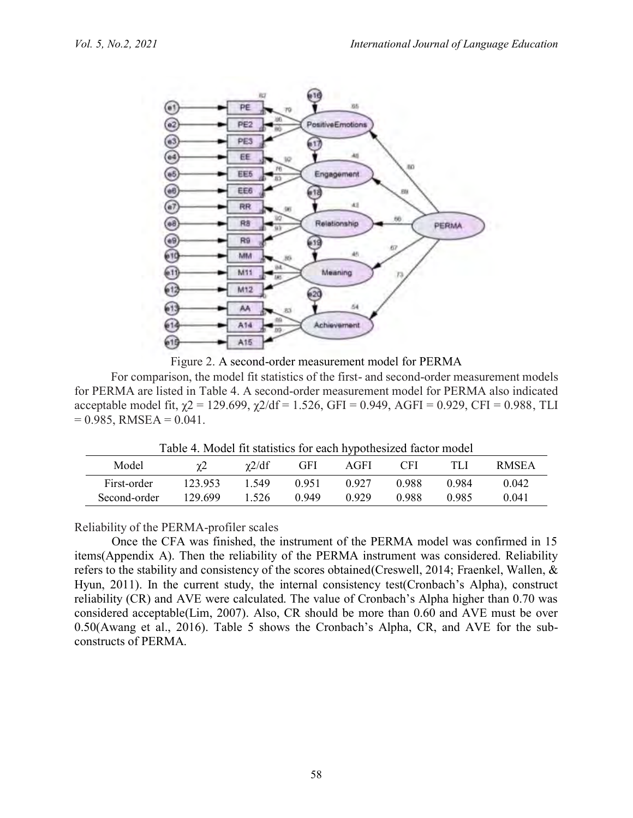

Figure 2. A second-order measurement model for PERMA

For comparison, the model fit statistics of the first- and second-order measurement models for PERMA are listed in Table 4. A second-order measurement model for PERMA also indicated acceptable model fit,  $\gamma$ 2 = 129.699,  $\gamma$ 2/df = 1.526, GFI = 0.949, AGFI = 0.929, CFI = 0.988, TLI  $= 0.985$ , RMSEA  $= 0.041$ .

Table 4. Model fit statistics for each hypothesized factor model

|              |         |             |       | - -   |       |       |              |
|--------------|---------|-------------|-------|-------|-------|-------|--------------|
| Model        | χŻ      | $\chi$ 2/df | GFI   | AGFI  | CFI.  |       | <b>RMSEA</b> |
| First-order  | 123.953 | 549         | 0.951 | 0 927 | 0.988 | 0.984 | 0.042        |
| Second-order | 129.699 | .526        | በ 949 | N 929 | 0.988 | 0.985 | 0.041        |
|              |         |             |       |       |       |       |              |

Reliability of the PERMA-profiler scales

Once the CFA was finished, the instrument of the PERMA model was confirmed in 15 items(Appendix A). Then the reliability of the PERMA instrument was considered. Reliability refers to the stability and consistency of the scores obtained[\(Creswell, 2014;](#page-9-11) [Fraenkel, Wallen, &](#page-10-19)  [Hyun, 2011\)](#page-10-19). In the current study, the internal consistency test(Cronbach's Alpha), construct reliability (CR) and AVE were calculated. The value of Cronbach's Alpha higher than 0.70 was considered acceptable[\(Lim, 2007\)](#page-10-20). Also, CR should be more than 0.60 and AVE must be over 0.50[\(Awang et al., 2016\)](#page-9-16). Table 5 shows the Cronbach's Alpha, CR, and AVE for the subconstructs of PERMA.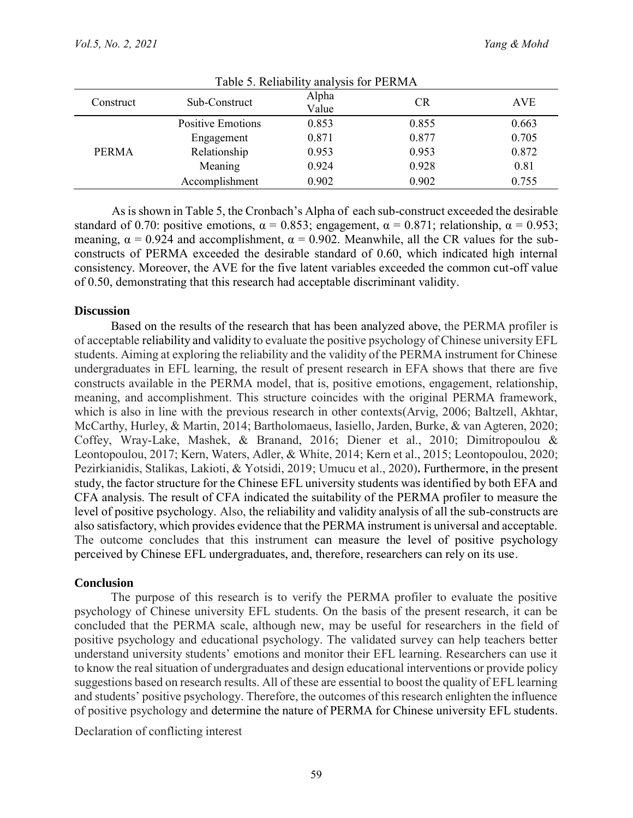| Table 5. Reliability analysis for PERMA |                          |                |           |       |  |  |
|-----------------------------------------|--------------------------|----------------|-----------|-------|--|--|
| Construct                               | Sub-Construct            | Alpha<br>Value | <b>CR</b> | AVE   |  |  |
| <b>PERMA</b>                            | <b>Positive Emotions</b> | 0.853          | 0.855     | 0.663 |  |  |
|                                         | Engagement               | 0.871          | 0.877     | 0.705 |  |  |
|                                         | Relationship             | 0.953          | 0.953     | 0.872 |  |  |
|                                         | Meaning                  | 0.924          | 0.928     | 0.81  |  |  |
|                                         | Accomplishment           | 0.902          | 0.902     | 0.755 |  |  |

As is shown in Table 5, the Cronbach's Alpha of each sub-construct exceeded the desirable standard of 0.70: positive emotions,  $\alpha = 0.853$ ; engagement,  $\alpha = 0.871$ ; relationship,  $\alpha = 0.953$ ; meaning,  $\alpha = 0.924$  and accomplishment,  $\alpha = 0.902$ . Meanwhile, all the CR values for the subconstructs of PERMA exceeded the desirable standard of 0.60, which indicated high internal consistency. Moreover, the AVE for the five latent variables exceeded the common cut-off value of 0.50, demonstrating that this research had acceptable discriminant validity.

### **Discussion**

Based on the results of the research that has been analyzed above, the PERMA profiler is of acceptable reliability and validity to evaluate the positive psychology of Chinese university EFL students. Aiming at exploring the reliability and the validity of the PERMA instrument for Chinese undergraduates in EFL learning, the result of present research in EFA shows that there are five constructs available in the PERMA model, that is, positive emotions, engagement, relationship, meaning, and accomplishment. This structure coincides with the original PERMA framework, which is also in line with the previous research in other contexts[\(Arvig, 2006;](#page-9-17) [Baltzell, Akhtar,](#page-9-18)  [McCarthy, Hurley, & Martin, 2014;](#page-9-18) [Bartholomaeus, Iasiello, Jarden, Burke, & van Agteren, 2020;](#page-9-19) [Coffey, Wray-Lake, Mashek, & Branand, 2016;](#page-9-20) [Diener et al., 2010;](#page-10-21) [Dimitropoulou &](#page-10-22)  [Leontopoulou, 2017;](#page-10-22) [Kern, Waters, Adler, & White, 2014;](#page-10-23) [Kern et al., 2015;](#page-10-9) [Leontopoulou, 2020;](#page-10-24) [Pezirkianidis, Stalikas, Lakioti, & Yotsidi, 2019;](#page-11-19) [Umucu et al., 2020\)](#page-11-20)**.** Furthermore, in the present study, the factor structure for the Chinese EFL university students was identified by both EFA and CFA analysis. The result of CFA indicated the suitability of the PERMA profiler to measure the level of positive psychology. Also, the reliability and validity analysis of all the sub-constructs are also satisfactory, which provides evidence that the PERMA instrument is universal and acceptable. The outcome concludes that this instrument can measure the level of positive psychology perceived by Chinese EFL undergraduates, and, therefore, researchers can rely on its use.

#### **Conclusion**

The purpose of this research is to verify the PERMA profiler to evaluate the positive psychology of Chinese university EFL students. On the basis of the present research, it can be concluded that the PERMA scale, although new, may be useful for researchers in the field of positive psychology and educational psychology. The validated survey can help teachers better understand university students' emotions and monitor their EFL learning. Researchers can use it to know the real situation of undergraduates and design educational interventions or provide policy suggestions based on research results. All of these are essential to boost the quality of EFL learning and students' positive psychology. Therefore, the outcomes of this research enlighten the influence of positive psychology and determine the nature of PERMA for Chinese university EFL students.

Declaration of conflicting interest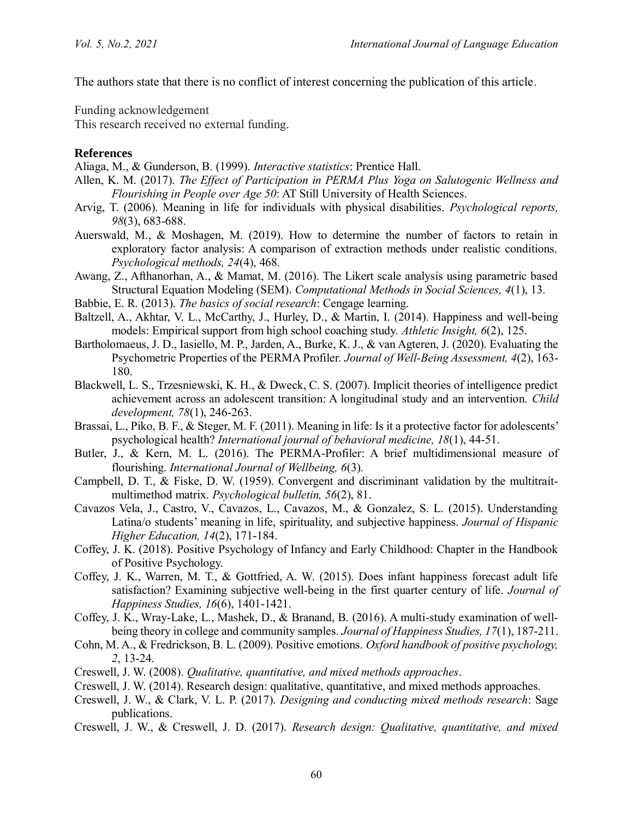The authors state that there is no conflict of interest concerning the publication of this article.

Funding acknowledgement

This research received no external funding.

### **References**

<span id="page-9-8"></span>Aliaga, M., & Gunderson, B. (1999). *Interactive statistics*: Prentice Hall.

- <span id="page-9-7"></span>Allen, K. M. (2017). *The Effect of Participation in PERMA Plus Yoga on Salutogenic Wellness and Flourishing in People over Age 50*: AT Still University of Health Sciences.
- <span id="page-9-17"></span>Arvig, T. (2006). Meaning in life for individuals with physical disabilities. *Psychological reports, 98*(3), 683-688.
- <span id="page-9-14"></span>Auerswald, M., & Moshagen, M. (2019). How to determine the number of factors to retain in exploratory factor analysis: A comparison of extraction methods under realistic conditions. *Psychological methods, 24*(4), 468.
- <span id="page-9-16"></span>Awang, Z., Afthanorhan, A., & Mamat, M. (2016). The Likert scale analysis using parametric based Structural Equation Modeling (SEM). *Computational Methods in Social Sciences, 4*(1), 13.
- <span id="page-9-10"></span>Babbie, E. R. (2013). *The basics of social research*: Cengage learning.
- <span id="page-9-18"></span>Baltzell, A., Akhtar, V. L., McCarthy, J., Hurley, D., & Martin, I. (2014). Happiness and well-being models: Empirical support from high school coaching study. *Athletic Insight, 6*(2), 125.
- <span id="page-9-19"></span>Bartholomaeus, J. D., Iasiello, M. P., Jarden, A., Burke, K. J., & van Agteren, J. (2020). Evaluating the Psychometric Properties of the PERMA Profiler. *Journal of Well-Being Assessment, 4*(2), 163- 180.
- <span id="page-9-6"></span>Blackwell, L. S., Trzesniewski, K. H., & Dweck, C. S. (2007). Implicit theories of intelligence predict achievement across an adolescent transition: A longitudinal study and an intervention. *Child development, 78*(1), 246-263.
- <span id="page-9-4"></span>Brassai, L., Piko, B. F., & Steger, M. F. (2011). Meaning in life: Is it a protective factor for adolescents' psychological health? *International journal of behavioral medicine, 18*(1), 44-51.
- <span id="page-9-0"></span>Butler, J., & Kern, M. L. (2016). The PERMA-Profiler: A brief multidimensional measure of flourishing. *International Journal of Wellbeing, 6*(3).
- <span id="page-9-15"></span>Campbell, D. T., & Fiske, D. W. (1959). Convergent and discriminant validation by the multitraitmultimethod matrix. *Psychological bulletin, 56*(2), 81.
- <span id="page-9-5"></span>Cavazos Vela, J., Castro, V., Cavazos, L., Cavazos, M., & Gonzalez, S. L. (2015). Understanding Latina/o students' meaning in life, spirituality, and subjective happiness. *Journal of Hispanic Higher Education, 14*(2), 171-184.
- <span id="page-9-2"></span>Coffey, J. K. (2018). Positive Psychology of Infancy and Early Childhood: Chapter in the Handbook of Positive Psychology.
- <span id="page-9-3"></span>Coffey, J. K., Warren, M. T., & Gottfried, A. W. (2015). Does infant happiness forecast adult life satisfaction? Examining subjective well-being in the first quarter century of life. *Journal of Happiness Studies, 16*(6), 1401-1421.
- <span id="page-9-20"></span>Coffey, J. K., Wray-Lake, L., Mashek, D., & Branand, B. (2016). A multi-study examination of wellbeing theory in college and community samples. *Journal of Happiness Studies, 17*(1), 187-211.
- <span id="page-9-1"></span>Cohn, M. A., & Fredrickson, B. L. (2009). Positive emotions. *Oxford handbook of positive psychology, 2*, 13-24.
- <span id="page-9-12"></span>Creswell, J. W. (2008). *Qualitative, quantitative, and mixed methods approaches*.
- <span id="page-9-11"></span>Creswell, J. W. (2014). Research design: qualitative, quantitative, and mixed methods approaches.
- <span id="page-9-13"></span>Creswell, J. W., & Clark, V. L. P. (2017). *Designing and conducting mixed methods research*: Sage publications.
- <span id="page-9-9"></span>Creswell, J. W., & Creswell, J. D. (2017). *Research design: Qualitative, quantitative, and mixed*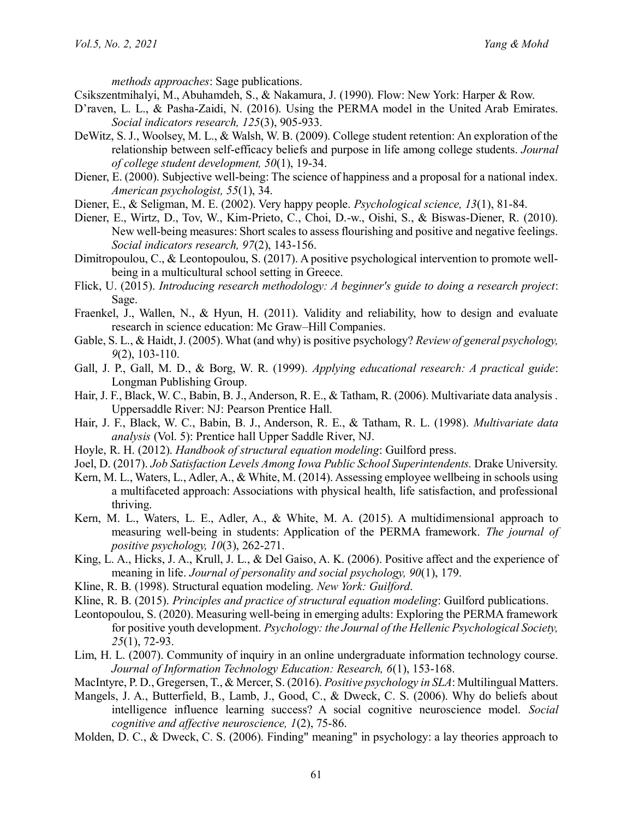*methods approaches*: Sage publications.

- <span id="page-10-2"></span>Csikszentmihalyi, M., Abuhamdeh, S., & Nakamura, J. (1990). Flow: New York: Harper & Row.
- <span id="page-10-3"></span>D'raven, L. L., & Pasha-Zaidi, N. (2016). Using the PERMA model in the United Arab Emirates. *Social indicators research, 125*(3), 905-933.
- <span id="page-10-5"></span>DeWitz, S. J., Woolsey, M. L., & Walsh, W. B. (2009). College student retention: An exploration of the relationship between self-efficacy beliefs and purpose in life among college students. *Journal of college student development, 50*(1), 19-34.
- <span id="page-10-1"></span>Diener, E. (2000). Subjective well-being: The science of happiness and a proposal for a national index. *American psychologist, 55*(1), 34.
- <span id="page-10-4"></span>Diener, E., & Seligman, M. E. (2002). Very happy people. *Psychological science, 13*(1), 81-84.
- <span id="page-10-21"></span>Diener, E., Wirtz, D., Tov, W., Kim-Prieto, C., Choi, D.-w., Oishi, S., & Biswas-Diener, R. (2010). New well-being measures: Short scales to assess flourishing and positive and negative feelings. *Social indicators research, 97*(2), 143-156.
- <span id="page-10-22"></span>Dimitropoulou, C., & Leontopoulou, S. (2017). A positive psychological intervention to promote wellbeing in a multicultural school setting in Greece.
- <span id="page-10-12"></span>Flick, U. (2015). *Introducing research methodology: A beginner's guide to doing a research project*: Sage.
- <span id="page-10-19"></span>Fraenkel, J., Wallen, N., & Hyun, H. (2011). Validity and reliability, how to design and evaluate research in science education: Mc Graw–Hill Companies.
- <span id="page-10-0"></span>Gable, S. L., & Haidt, J. (2005). What (and why) is positive psychology? *Review of general psychology, 9*(2), 103-110.
- <span id="page-10-13"></span>Gall, J. P., Gall, M. D., & Borg, W. R. (1999). *Applying educational research: A practical guide*: Longman Publishing Group.
- <span id="page-10-16"></span>Hair, J. F., Black, W. C., Babin, B. J., Anderson, R. E., & Tatham, R. (2006). Multivariate data analysis . Uppersaddle River: NJ: Pearson Prentice Hall.
- <span id="page-10-14"></span>Hair, J. F., Black, W. C., Babin, B. J., Anderson, R. E., & Tatham, R. L. (1998). *Multivariate data analysis* (Vol. 5): Prentice hall Upper Saddle River, NJ.
- <span id="page-10-17"></span>Hoyle, R. H. (2012). *Handbook of structural equation modeling*: Guilford press.
- <span id="page-10-10"></span>Joel, D. (2017). *Job Satisfaction Levels Among Iowa Public School Superintendents.* Drake University.
- <span id="page-10-23"></span>Kern, M. L., Waters, L., Adler, A., & White, M. (2014). Assessing employee wellbeing in schools using a multifaceted approach: Associations with physical health, life satisfaction, and professional thriving.
- <span id="page-10-9"></span>Kern, M. L., Waters, L. E., Adler, A., & White, M. A. (2015). A multidimensional approach to measuring well-being in students: Application of the PERMA framework. *The journal of positive psychology, 10*(3), 262-271.
- <span id="page-10-6"></span>King, L. A., Hicks, J. A., Krull, J. L., & Del Gaiso, A. K. (2006). Positive affect and the experience of meaning in life. *Journal of personality and social psychology, 90*(1), 179.
- <span id="page-10-18"></span>Kline, R. B. (1998). Structural equation modeling. *New York: Guilford*.
- <span id="page-10-15"></span>Kline, R. B. (2015). *Principles and practice of structural equation modeling*: Guilford publications.
- <span id="page-10-24"></span>Leontopoulou, S. (2020). Measuring well-being in emerging adults: Exploring the PERMA framework for positive youth development. *Psychology: the Journal of the Hellenic Psychological Society, 25*(1), 72-93.
- <span id="page-10-20"></span>Lim, H. L. (2007). Community of inquiry in an online undergraduate information technology course. *Journal of Information Technology Education: Research, 6*(1), 153-168.
- <span id="page-10-11"></span>MacIntyre, P. D., Gregersen, T., & Mercer, S. (2016). *Positive psychology in SLA*: Multilingual Matters.
- <span id="page-10-8"></span>Mangels, J. A., Butterfield, B., Lamb, J., Good, C., & Dweck, C. S. (2006). Why do beliefs about intelligence influence learning success? A social cognitive neuroscience model. *Social cognitive and affective neuroscience, 1*(2), 75-86.
- <span id="page-10-7"></span>Molden, D. C., & Dweck, C. S. (2006). Finding" meaning" in psychology: a lay theories approach to